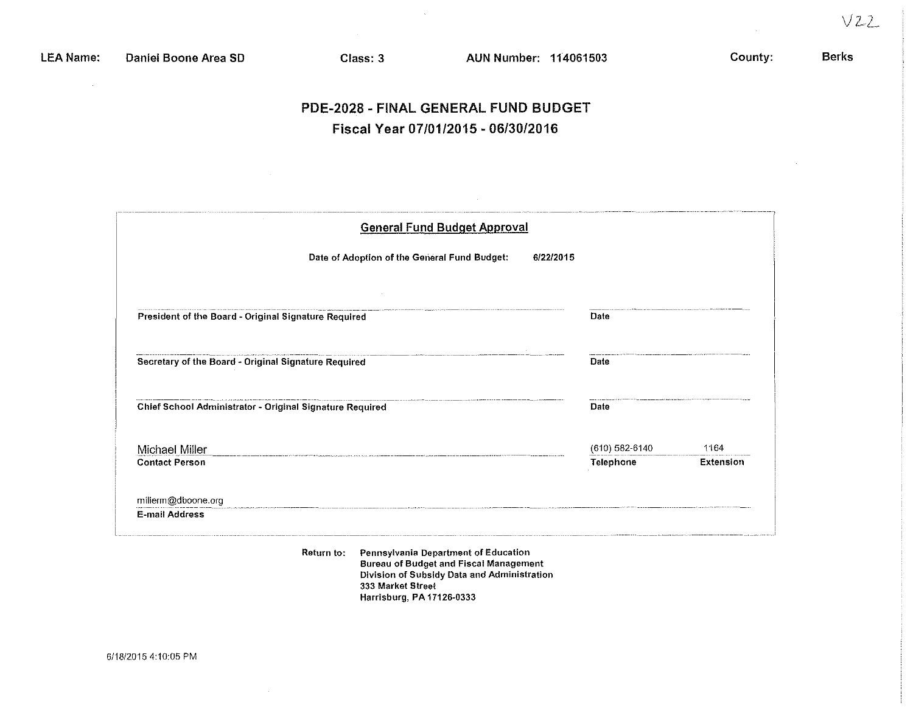$\bar{u}$ 

### Berks

# PDE-2028 - FINAL GENERAL FUND BUDGET Fiscal Year *07/01/2015* - *06/30/2016*

| <b>General Fund Budget Approval</b>                      |                |           |  |  |  |  |
|----------------------------------------------------------|----------------|-----------|--|--|--|--|
| Date of Adoption of the General Fund Budget:             | 6/22/2015      |           |  |  |  |  |
|                                                          |                |           |  |  |  |  |
| President of the Board - Original Signature Required     | Date           |           |  |  |  |  |
| Secretary of the Board - Original Signature Required     | Date           |           |  |  |  |  |
| Chief School Administrator - Original Signature Required | Date           |           |  |  |  |  |
| Michael Miller                                           | (610) 582-6140 | 1164      |  |  |  |  |
| <b>Contact Person</b>                                    | Telephone      | Extension |  |  |  |  |
| millerm@dboone.org                                       |                |           |  |  |  |  |
| <b>E-mail Address</b>                                    |                |           |  |  |  |  |

**Return to: Pennsylvania Department of Education Bureau of Budget and Fiscal Management Division of SUbsidy Data and Administration 333 Market Street Harrisburg, PA 17126-0333**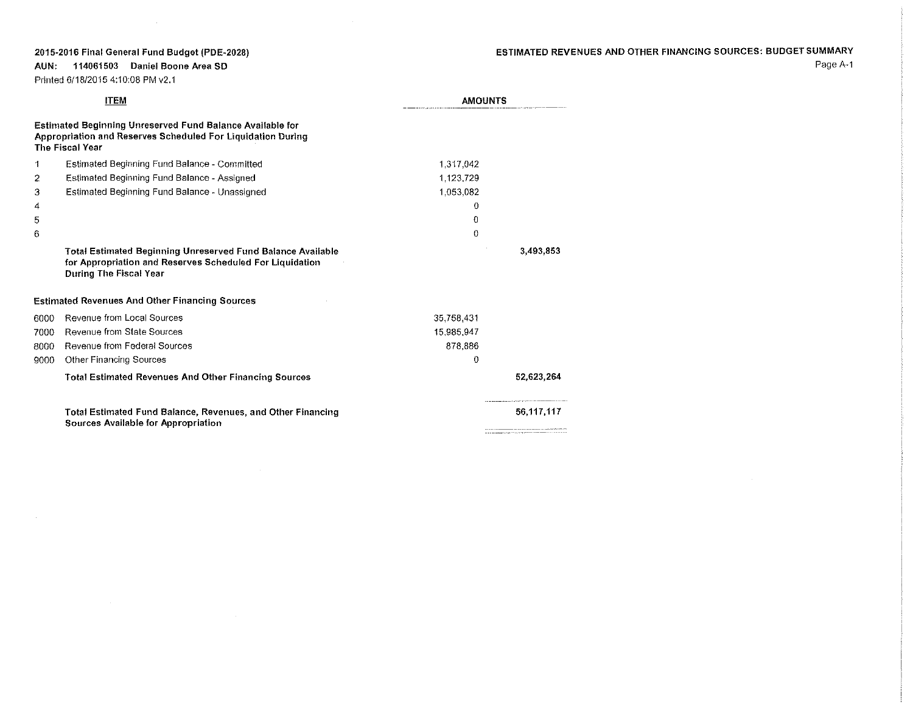$\sim 10^7$ 

# ESTIMATED REVENUES AND OTHER FINANCING SOURCES: BUDGET SUMMARY

**AUN: 114061503 Daniel Boone Area SO** Printed 011812015 4:10:08 PM v2.1

 $\sim$   $\sim$ 

|      | <b>ITEM</b>                                                                                                                                               | <b>AMOUNTS</b> |            |
|------|-----------------------------------------------------------------------------------------------------------------------------------------------------------|----------------|------------|
|      | <b>Estimated Beginning Unreserved Fund Balance Available for</b><br>Appropriation and Reserves Scheduled For Liquidation During<br><b>The Fiscal Year</b> |                |            |
| 1    | Estimated Beginning Fund Balance - Committed                                                                                                              | 1,317,042      |            |
| 2    | Estimated Beginning Fund Balance - Assigned                                                                                                               | 1.123,729      |            |
| 3    | Estimated Beginning Fund Balance - Unassigned                                                                                                             | 1.053.082      |            |
| 4    |                                                                                                                                                           | Ω              |            |
| 5    |                                                                                                                                                           | 0              |            |
| 6    |                                                                                                                                                           | $\bf{0}$       |            |
|      | Total Estimated Beginning Unreserved Fund Balance Available<br>for Appropriation and Reserves Scheduled For Liquidation<br>During The Fiscal Year         |                | 3,493,853  |
|      | <b>Estimated Revenues And Other Financing Sources</b>                                                                                                     |                |            |
| 6000 | Revenue from Local Sources                                                                                                                                | 35,758,431     |            |
| 7000 | <b>Revenue from State Sources</b>                                                                                                                         | 15.985,947     |            |
| 8000 | Revenue from Federal Sources                                                                                                                              | 878,886        |            |
| 9000 | Other Financing Sources                                                                                                                                   | 0              |            |
|      | <b>Total Estimated Revenues And Other Financing Sources</b>                                                                                               |                | 52,623,264 |
|      | Total Estimated Fund Balance, Revenues, and Other Financing<br>Sources Available for Appropriation                                                        |                | 56.117.117 |

Page A-1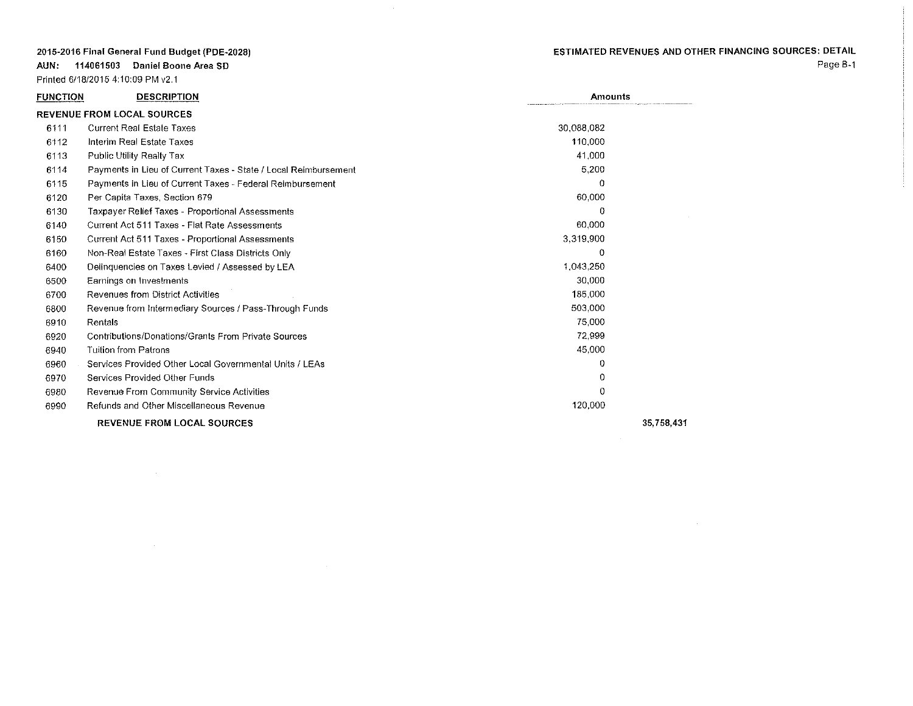**AUN: 114061503 Daniel Boone Area SO**

Printed 6/18/2015 4:10:09 PM v2.1

# ESTIMATED REVENUES AND OTHER FINANCING SOURCES: DETAIL

Page B~1

| <b>FUNCTION</b> | <b>DESCRIPTION</b>                                              | <b>Amounts</b> |  |
|-----------------|-----------------------------------------------------------------|----------------|--|
|                 | <b>REVENUE FROM LOCAL SOURCES</b>                               |                |  |
| 6111            | <b>Current Real Estate Taxes</b>                                | 30,088,082     |  |
| 6112            | Interim Real Estate Taxes                                       | 110.000        |  |
| 6113            | Public Utility Realty Tax                                       | 41.000         |  |
| 6114            | Payments in Lieu of Current Taxes - State / Local Reimbursement | 5,200          |  |
| 6115            | Payments in Lieu of Current Taxes - Federal Reimbursement       | $\Omega$       |  |
| 6120            | Per Capita Taxes, Section 679                                   | 60,000         |  |
| 6130            | Taxpayer Relief Taxes - Proportional Assessments                | Λ              |  |
| 6140            | Current Act 511 Taxes - Flat Rate Assessments                   | 60,000         |  |
| 6150            | Current Act 511 Taxes - Proportional Assessments                | 3,319,900      |  |
| 6160            | Non-Real Estate Taxes - First Class Districts Only              | $\Omega$       |  |
| 6400            | Delinquencies on Taxes Levied / Assessed by LEA                 | 1,043,250      |  |
| 6500            | Earnings on Investments                                         | 30,000         |  |
| 6700            | Revenues from District Activities                               | 185.000        |  |
| 6800            | Revenue from Intermediary Sources / Pass-Through Funds          | 503.000        |  |
| 6910            | Rentals                                                         | 75,000         |  |
| 6920            | Contributions/Donations/Grants From Private Sources             | 72,999         |  |
| 6940            | <b>Tuition from Patrons</b>                                     | 45,000         |  |
| 6960            | Services Provided Other Local Governmental Units / LEAs         | 0              |  |
| 6970            | Services Provided Other Funds                                   | 0              |  |
| 6980            | Revenue From Community Service Activities                       | 0              |  |
| 6990            | Refunds and Other Miscellaneous Revenue                         | 120,000        |  |
|                 |                                                                 |                |  |

 $\sim$ 

REVENUE FROM LOCAL SOURCES

 $\sim 10^6$ 

35,758,431

 $\sim 10^{-1}$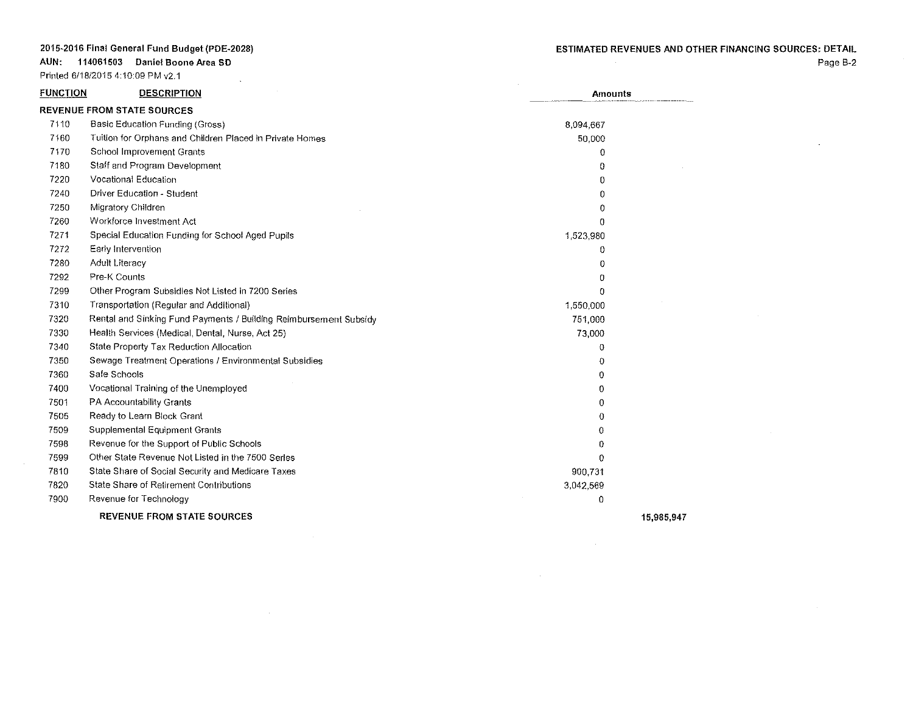$\sim 100$ 

**AUN: 114061503 Daniel Boone Area SO**

Printed 6/18/2015 4:10:09 PM v2.1

Page B-2

 $\sim$ 

| Basic Education Funding (Gross)                                   | 8,094,667                                                                  |                |
|-------------------------------------------------------------------|----------------------------------------------------------------------------|----------------|
| Tuition for Orphans and Children Placed in Private Homes          | 50,000                                                                     |                |
| School Improvement Grants                                         | $\Omega$                                                                   |                |
| Staff and Program Development                                     | 0                                                                          |                |
| Vocational Education                                              | $\Omega$                                                                   |                |
| Driver Education - Student                                        | 0                                                                          |                |
| Migratory Children                                                | 0                                                                          |                |
| Workforce Investment Act                                          | $\Omega$                                                                   |                |
| Special Education Funding for School Aged Pupils                  | 1,523,980                                                                  |                |
| Early Intervention                                                | 0                                                                          |                |
| Adult Literacy                                                    | 0                                                                          |                |
| Pre-K Counts                                                      | 0                                                                          |                |
| Other Program Subsidies Not Listed in 7200 Series                 | $\Omega$                                                                   |                |
| Transportation (Regular and Additional)                           | 1,550,000                                                                  |                |
| Rental and Sinking Fund Payments / Building Reimbursement Subsidy | 751,000                                                                    |                |
| Health Services (Medical, Dental, Nurse, Act 25)                  | 73,000                                                                     |                |
| State Property Tax Reduction Allocation                           | Ð                                                                          |                |
| Sewage Treatment Operations / Environmental Subsidies             | 0                                                                          |                |
| Safe Schools                                                      | 0                                                                          |                |
| Vocational Training of the Unemployed                             | 0                                                                          |                |
| PA Accountability Grants                                          | 0                                                                          |                |
| Ready to Learn Block Grant                                        | 0                                                                          |                |
| <b>Supplemental Equipment Grants</b>                              | 0                                                                          |                |
| Revenue for the Support of Public Schools                         | 0                                                                          |                |
| Other State Revenue Not Listed in the 7500 Series                 | n                                                                          |                |
| State Share of Social Security and Medicare Taxes                 | 900,731                                                                    |                |
| State Share of Retirement Contributions                           | 3,042,569                                                                  |                |
| Revenue for Technology                                            | 0                                                                          |                |
| <b>REVENUE FROM STATE SOURCES</b>                                 |                                                                            | 15,985,947     |
|                                                                   | <b>FUNCTION</b><br><b>DESCRIPTION</b><br><b>REVENUE FROM STATE SOURCES</b> | <b>Amounts</b> |

 $\sim 10^{-1}$ 

 $\sim 10^6$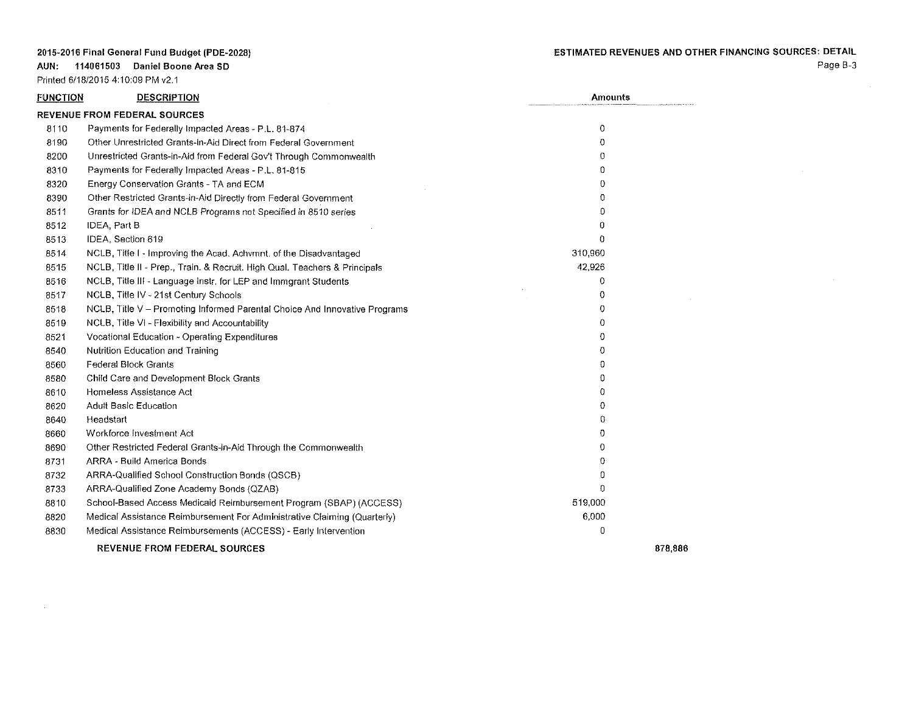**AUN: 114061503 Daniel Boone Area SO**

Printed 6/18/2015 4: 10:09 PM v2.1

Page B-3

| FUNCTION | <b>DESCRIPTION</b>                                                         | <b>Amounts</b> |         |
|----------|----------------------------------------------------------------------------|----------------|---------|
|          | <b>REVENUE FROM FEDERAL SOURCES</b>                                        |                |         |
| 8110     | Payments for Federally Impacted Areas - P.L. 81-874                        | 0              |         |
| 8190     | Other Unrestricted Grants-In-Aid Direct from Federal Government            | 0              |         |
| 8200     | Unrestricted Grants-in-Aid from Federal Gov't Through Commonwealth         | 0              |         |
| 8310     | Payments for Federally Impacted Areas - P.L. 81-815                        | Ð              |         |
| 8320     | Energy Conservation Grants - TA and ECM                                    | $\Omega$       |         |
| 8390     | Other Restricted Grants-in-Aid Directly from Federal Government            | 0              |         |
| 8511     | Grants for IDEA and NCLB Programs not Specified in 8510 series             | 0              |         |
| 8512     | IDEA, Part B                                                               | Ð              |         |
| 8513     | IDEA, Section 619                                                          | Ð              |         |
| 8514     | NCLB, Title I - Improving the Acad. Achymnt, of the Disadvantaged          | 310,960        |         |
| 8515     | NCLB, Title II - Prep., Train. & Recruit. High Qual. Teachers & Principals | 42,926         |         |
| 8516     | NCLB, Title III - Language Instr. for LEP and Immgrant Students            | 0              |         |
| 8517     | NCLB, Title IV - 21st Century Schools                                      | 0              |         |
| 8518     | NCLB, Title V - Promoting Informed Parental Choice And Innovative Programs | 0              |         |
| 8519     | NCLB, Title VI - Flexibility and Accountability                            | 0              |         |
| 8521     | Vocational Education - Operating Expenditures                              | Ð              |         |
| 8540     | Nutrition Education and Training                                           | Ω              |         |
| 8560     | Federal Block Grants                                                       | 0              |         |
| 8580     | Child Care and Development Block Grants                                    | 0              |         |
| 8610     | Homeless Assistance Act                                                    | Ð              |         |
| 8620     | <b>Adult Basic Education</b>                                               | 0              |         |
| 8640     | Headstart                                                                  | $\Omega$       |         |
| 8660     | Workforce Investment Act                                                   | 0              |         |
| 8690     | Other Restricted Federal Grants-in-Aid Through the Commonwealth            | Ð              |         |
| 8731     | ARRA - Build America Bonds                                                 | 0              |         |
| 8732     | ARRA-Qualified School Construction Bonds (QSCB)                            | n              |         |
| 8733     | ARRA-Qualified Zone Academy Bonds (QZAB)                                   | $\Omega$       |         |
| 8810     | School-Based Access Medicaid Reimbursement Program (SBAP) (ACCESS)         | 519,000        |         |
| 8820     | Medical Assistance Reimbursement For Administrative Claiming (Quarterly)   | 6,000          |         |
| 8830     | Medical Assistance Reimbursements (ACCESS) - Early Intervention            | 0              |         |
|          | <b>REVENUE FROM FEDERAL SOURCES</b>                                        |                | 878,886 |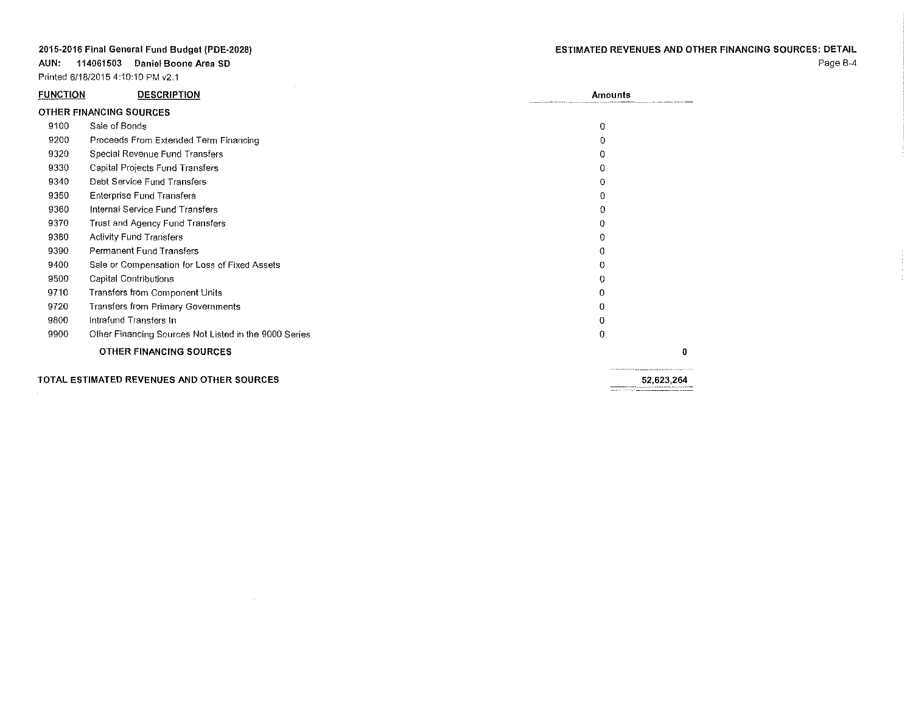**AUN: 114061503 Daniel Boone Area SO**

Printed 6/18/2015 4:10:10 PM v2.1

| <b>FUNCTION</b> | <b>DESCRIPTION</b>                                    | Amounts    |
|-----------------|-------------------------------------------------------|------------|
|                 | OTHER FINANCING SOURCES                               |            |
| 9100            | Sale of Bonds                                         | $\theta$   |
| 9200            | Proceeds From Extended Term Financing                 | $\Omega$   |
| 9320            | Special Revenue Fund Transfers                        | 0          |
| 9330            | Capital Projects Fund Transfers                       | 0          |
| 9340            | Debt Service Fund Transfers                           | 0          |
| 9350            | <b>Enterprise Fund Transfers</b>                      | 0          |
| 9360            | Internal Service Fund Transfers                       | 0          |
| 9370            | Trust and Agency Fund Transfers                       | 0          |
| 9380            | <b>Activity Fund Transfers</b>                        | 0          |
| 9390            | Permanent Fund Transfers                              | 0          |
| 9400            | Sale or Compensation for Loss of Fixed Assets         | 0          |
| 9500            | Capital Contributions                                 | 0          |
| 9710            | Transfers from Component Units                        | 0          |
| 9720            | Transfers from Primary Governments                    | 0          |
| 9800            | Intrafund Transfers In                                | 0          |
| 9900            | Other Financing Sources Not Listed in the 9000 Series | 0          |
|                 | OTHER FINANCING SOURCES                               | Ω          |
|                 | TOTAL ESTIMATED REVENUES AND OTHER SOURCES            | 52,623.264 |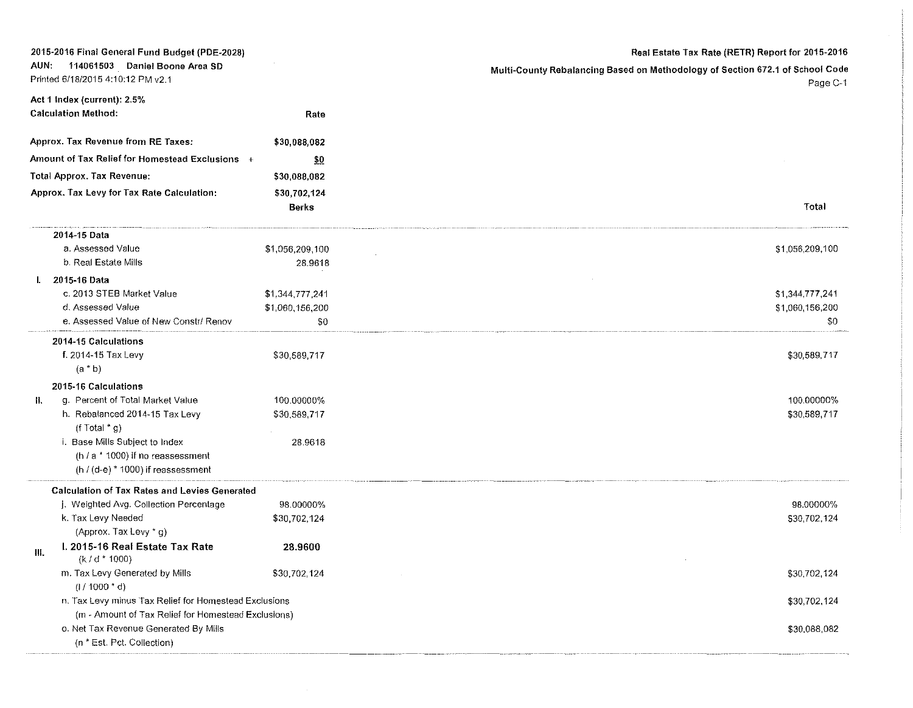|      | 2015-2016 Final General Fund Budget (PDE-2028)                     |                            | Real Estate Tax Rate (RETR) Report for 2015-2016                              |
|------|--------------------------------------------------------------------|----------------------------|-------------------------------------------------------------------------------|
| AUN. | 114061503 Daniel Boone Area SD                                     |                            | Multi-County Rebalancing Based on Methodology of Section 672.1 of School Code |
|      | Printed 6/18/2015 4:10:12 PM v2.1                                  |                            | Page C-1                                                                      |
|      | Act 1 Index (current): 2.5%                                        |                            |                                                                               |
|      | <b>Calculation Method:</b>                                         | Rate                       |                                                                               |
|      | Approx. Tax Revenue from RE Taxes:                                 | \$30,088,082               |                                                                               |
|      | Amount of Tax Relief for Homestead Exclusions +                    | 50                         |                                                                               |
|      | <b>Total Approx. Tax Revenue:</b>                                  | \$30,088,082               |                                                                               |
|      | Approx. Tax Levy for Tax Rate Calculation:                         | \$30,702,124               |                                                                               |
|      |                                                                    | Berks                      | Total                                                                         |
|      | 2014-15 Data                                                       |                            |                                                                               |
|      | a. Assessed Value                                                  | \$1,056,209,100            | \$1,056,209,100                                                               |
|      | b. Real Estate Mills                                               | 28.9618                    |                                                                               |
|      | I. 2015-16 Data                                                    |                            |                                                                               |
|      | c. 2013 STEB Market Value                                          | \$1,344,777,241            | \$1,344,777,241                                                               |
|      | d. Assessed Value                                                  | \$1,060,156,200            | \$1,060,156,200                                                               |
|      | e. Assessed Value of New Constr/ Renov                             | \$0                        | \$0                                                                           |
|      | 2014-15 Calculations                                               |                            |                                                                               |
|      | f. 2014-15 Tax Levy                                                | \$30,589,717               | \$30,589,717                                                                  |
|      | $(a * b)$                                                          |                            |                                                                               |
|      | 2015-16 Calculations                                               |                            | 100.00000%                                                                    |
| П.   | g. Percent of Total Market Value<br>h. Rebalanced 2014-15 Tax Levy | 100.00000%<br>\$30,589,717 | \$30,589,717                                                                  |
|      | (f Total $*$ g)                                                    |                            |                                                                               |
|      | i. Base Mills Subject to Index                                     | 28.9618                    |                                                                               |
|      | (h / a * 1000) if no reassessment                                  |                            |                                                                               |
|      | (h / (d-e) $*$ 1000) if reassessment                               |                            |                                                                               |
|      | <b>Calculation of Tax Rates and Levies Generated</b>               |                            |                                                                               |
|      | j. Weighted Avg. Collection Percentage                             | 98.00000%                  | 98.00000%                                                                     |
|      | k. Tax Levy Needed                                                 | \$30,702,124               | \$30,702,124                                                                  |
|      | (Approx. Tax Levy * g)                                             |                            |                                                                               |
| III. | I. 2015-16 Real Estate Tax Rate<br>$(k/d * 1000)$                  | 28.9600                    |                                                                               |
|      | m. Tax Levy Generated by Mills<br>$(1/1000 * d)$                   | \$30,702,124               | \$30,702,124                                                                  |
|      | n. Tax Levy minus Tax Relief for Homestead Exclusions              |                            | \$30,702,124                                                                  |
|      | (m - Amount of Tax Relief for Homestead Exclusions)                |                            |                                                                               |
|      | o. Net Tax Revenue Generated By Mills                              |                            | \$30,088,082                                                                  |
|      | (n * Est. Pct. Collection)                                         |                            |                                                                               |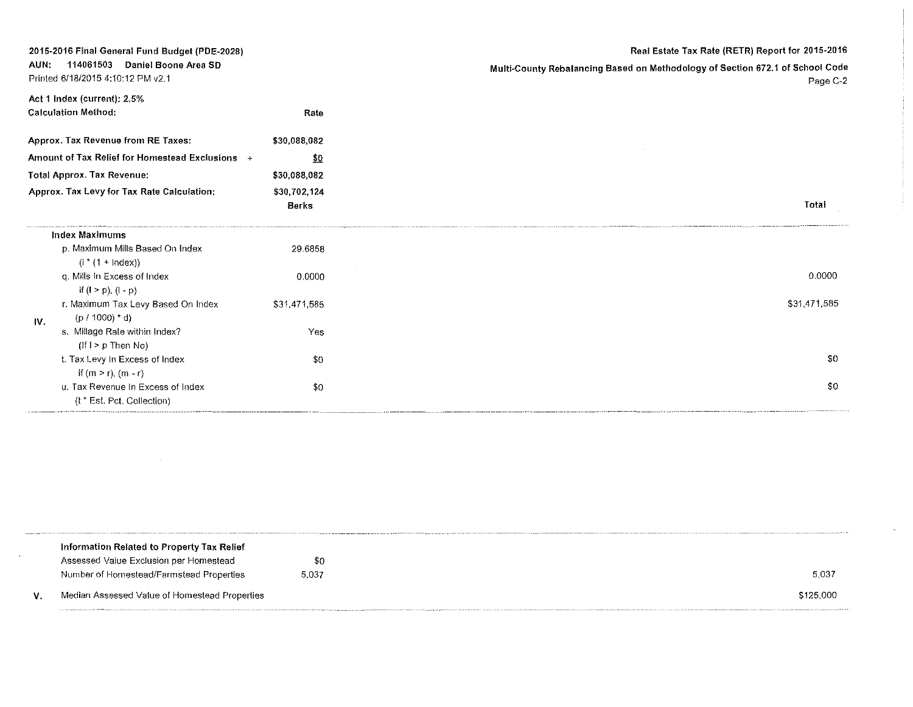|      | 2015-2016 Final General Fund Budget (PDE-2028)                         |                              | Real Estate Tax Rate (RETR) Report for 2015-2016                                          |
|------|------------------------------------------------------------------------|------------------------------|-------------------------------------------------------------------------------------------|
| AUN: | 114061503<br>Daniel Boone Area SD<br>Printed 6/18/2015 4:10:12 PM v2.1 |                              | Multi-County Rebalancing Based on Methodology of Section 672.1 of School Code<br>Page C-2 |
|      | Act 1 Index (current): 2.5%<br><b>Calculation Method:</b>              | Rate                         |                                                                                           |
|      | Approx. Tax Revenue from RE Taxes:                                     | \$30,088,082                 |                                                                                           |
|      | Amount of Tax Relief for Homestead Exclusions +                        | $\frac{1}{2}0$               |                                                                                           |
|      | <b>Total Approx. Tax Revenue:</b>                                      | \$30,088,082                 |                                                                                           |
|      | Approx. Tax Levy for Tax Rate Calculation:                             | \$30,702,124<br><b>Berks</b> | Total                                                                                     |
|      | <b>Index Maximums</b>                                                  |                              |                                                                                           |
|      | p. Maximum Mills Based On Index<br>$(i * (1 + \text{Index}))$          | 29.6858                      |                                                                                           |
|      | q. Mills in Excess of Index<br>if $(l > p)$ , $(l - p)$                | 0.0000                       | 0.0000                                                                                    |
| IV.  | r. Maximum Tax Levy Based On Index<br>$(p / 1000)$ * d)                | \$31,471,585                 | \$31,471,585                                                                              |
|      | s. Millage Rate within Index?<br>$(H \rvert > p$ Then No)              | Yes                          |                                                                                           |
|      | t. Tax Levy In Excess of Index<br>if $(m > r)$ , $(m - r)$             | \$0                          | -90                                                                                       |
|      | u. Tax Revenue In Excess of Index<br>(t * Est. Pct. Collection)        | \$0                          | \$0                                                                                       |

| Information Related to Property Tax Relief    |       |           |
|-----------------------------------------------|-------|-----------|
| Assessed Value Exclusion per Homestead        | \$0   |           |
| Number of Homestead/Farmstead Properties      | 5,037 | 5.037     |
| Median Assessed Value of Homestead Properties |       | \$125,000 |
|                                               |       |           |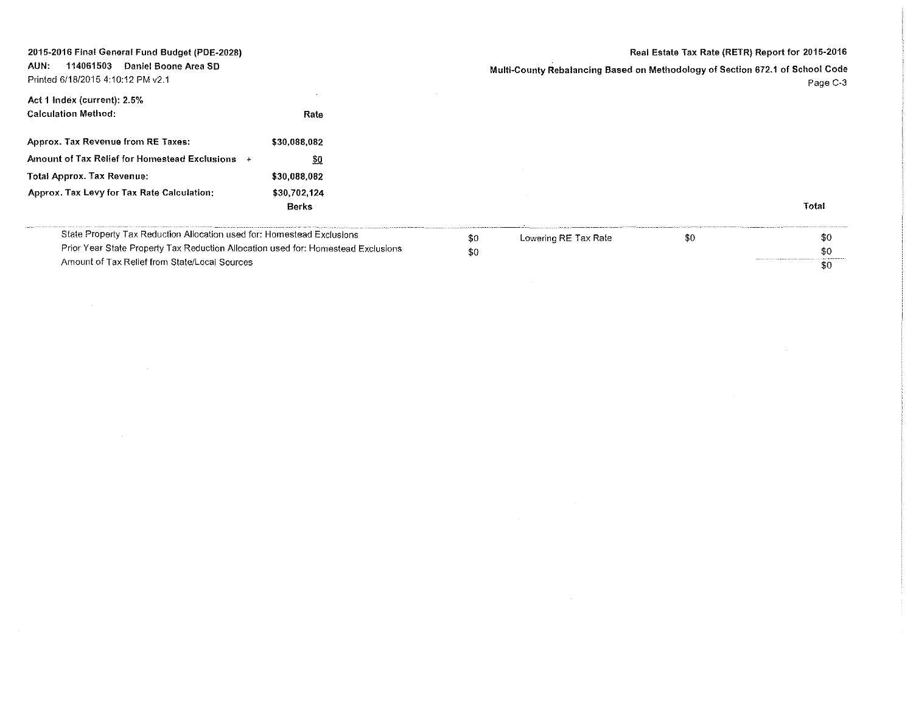### Real Estate Tax Rate (RETR) Report for 2015-2016

AUN: 114061503 Daniel Boone Area SO Multi-County Rebalancing Based on Methodology of Section 672.1 of School Code Printed 6/18/2015 4:10:12 PM v2.1 Page C-3  $\sim$ Act 1 Index (current): 2.5% Calculation Method: Rate Approx. Tax Revenue from RE Taxes: \$30,088,082 Amount of Tax Relief for Homestead Exclusions  $+$  $$0$ Total Approx. Tax Revenue: \$30,088,082 Approx. Tax Levy for Tax Rate Calculation: \$30,702,124 Total Berks State Property Tax Reduction Allocation used for: Homestead Exclusions \$0 Lowering RE Tax Rate  $$0$   $$0$ Prior Year State Property Tax Reduction Allocation used for: Homestead Exclusions \$0

Amount of Tax Relief from State/Local Sources

2015-2016 Final General Fund Budget (PDE-2028)

| Lowering RE Tax Rate | \$0 | -90                                                                                                                  |
|----------------------|-----|----------------------------------------------------------------------------------------------------------------------|
|                      |     | \$0                                                                                                                  |
|                      |     | The property contact and configuration of the contact construction of the contact of the second contact of the<br>80 |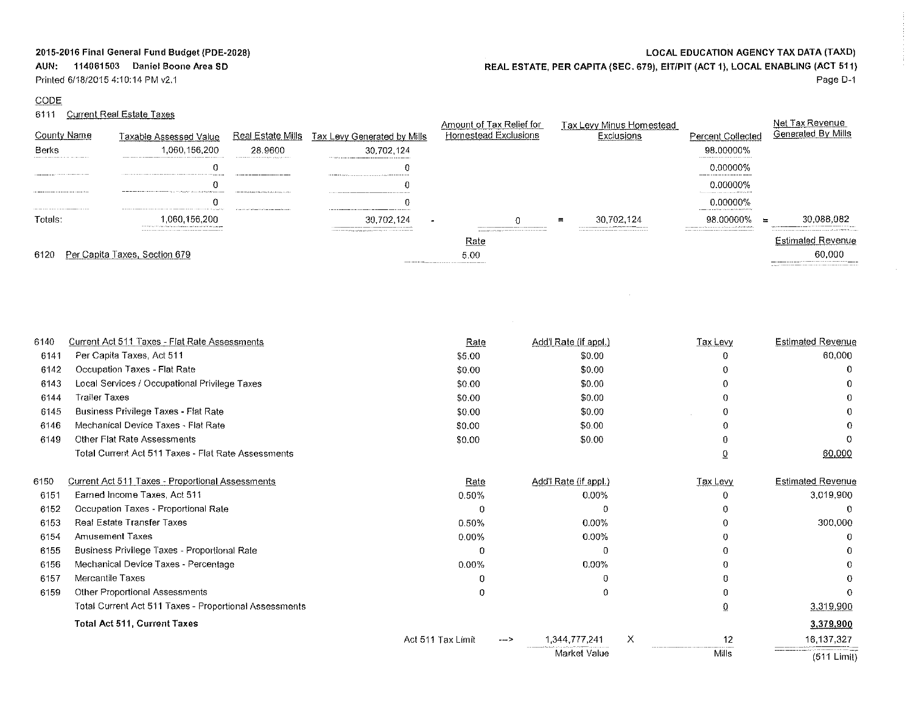# **AUN: 114061503 Daniel Boone Area SD**

Printed 6/18/2015 4:10:14 PM v2.1

## CODE

## 6111 Current Real Estate Taxes

|  |  | <b>LOCAL EDUCATION AGENCY TAX DATA (TAXD)</b> |  |
|--|--|-----------------------------------------------|--|
|--|--|-----------------------------------------------|--|

REAL ESTATE, PER CAPITA (SEC. 679), EITIPIT (ACT 1), LOCAL ENABLING (ACT 511)

 $\sim 10^{-1}$ 

Page 0-1

 $\sim 10^6$ 

|                                                                                                                                                                                                                                                                                                                                                                 |                                                                                                                                                                                                                                                                                                                                        |                                                                                                                                                                                                                               |                                                                                                                                                                                                                                                                                                                                                                                                                                                   | ι of Tax Relief for                                                                        |          | Tax Levv                                                                                                                                                                                                                                                                                                                                                                                                                                                                                                                                                                                                                                                     |                                                                                                    |                                                                                                                                                                                                                                                                                                                                                                                                                                                                          |
|-----------------------------------------------------------------------------------------------------------------------------------------------------------------------------------------------------------------------------------------------------------------------------------------------------------------------------------------------------------------|----------------------------------------------------------------------------------------------------------------------------------------------------------------------------------------------------------------------------------------------------------------------------------------------------------------------------------------|-------------------------------------------------------------------------------------------------------------------------------------------------------------------------------------------------------------------------------|---------------------------------------------------------------------------------------------------------------------------------------------------------------------------------------------------------------------------------------------------------------------------------------------------------------------------------------------------------------------------------------------------------------------------------------------------|--------------------------------------------------------------------------------------------|----------|--------------------------------------------------------------------------------------------------------------------------------------------------------------------------------------------------------------------------------------------------------------------------------------------------------------------------------------------------------------------------------------------------------------------------------------------------------------------------------------------------------------------------------------------------------------------------------------------------------------------------------------------------------------|----------------------------------------------------------------------------------------------------|--------------------------------------------------------------------------------------------------------------------------------------------------------------------------------------------------------------------------------------------------------------------------------------------------------------------------------------------------------------------------------------------------------------------------------------------------------------------------|
|                                                                                                                                                                                                                                                                                                                                                                 |                                                                                                                                                                                                                                                                                                                                        | <u>Real Estate Mills</u>                                                                                                                                                                                                      | lax Levy<br>/ills                                                                                                                                                                                                                                                                                                                                                                                                                                 | Homestead Exclusions                                                                       |          |                                                                                                                                                                                                                                                                                                                                                                                                                                                                                                                                                                                                                                                              | Collected                                                                                          | Generated By Mills                                                                                                                                                                                                                                                                                                                                                                                                                                                       |
| Berks<br>construction of the construction of the construction of the construction of the construction of the construction of                                                                                                                                                                                                                                    | The model of the company company company of the model of the company of the company of the specifical party and                                                                                                                                                                                                                        | 28.9600<br>The continuous continuous construction program and the continuous                                                                                                                                                  | The contract of the company of the company of the contract of the contract of the contract of the contract of the contract of the contract of the contract of the contract of the contract of the contract of the contract of                                                                                                                                                                                                                     |                                                                                            |          |                                                                                                                                                                                                                                                                                                                                                                                                                                                                                                                                                                                                                                                              | 98.00000%                                                                                          |                                                                                                                                                                                                                                                                                                                                                                                                                                                                          |
|                                                                                                                                                                                                                                                                                                                                                                 | The company company's series and company of the company's company's company company's and the company's company                                                                                                                                                                                                                        |                                                                                                                                                                                                                               | $\label{eq:conformal} \begin{minipage}{0.9\textwidth} \begin{minipage}{0.9\textwidth} \begin{itemize} \textbf{1} & \textbf{1} & \textbf{1} & \textbf{1} & \textbf{1} & \textbf{1} & \textbf{1} & \textbf{1} & \textbf{1} & \textbf{1} & \textbf{1} & \textbf{1} & \textbf{1} & \textbf{1} & \textbf{1} & \textbf{1} & \textbf{1} & \textbf{1} & \textbf{1} & \textbf{1} & \textbf{1} & \textbf{1} & \textbf{1} & \textbf{1} & \textbf{1} & \text$ |                                                                                            |          |                                                                                                                                                                                                                                                                                                                                                                                                                                                                                                                                                                                                                                                              | 0.00000%                                                                                           |                                                                                                                                                                                                                                                                                                                                                                                                                                                                          |
| THE MERCHANDISE RECONSILED FOR DESIGN CONTRACTOR                                                                                                                                                                                                                                                                                                                | The commitment of the contract and contract the state of the contract of the contract of the contract of the contract of                                                                                                                                                                                                               | THE REPORT OF THE RESIDENCE OF THE RESIDENCE OF THE RESIDENCE OF THE RESIDENCE OF THE RESIDENCE OF THE RESIDENCE OF THE RESIDENCE OF THE RESIDENCE OF THE RESIDENCE OF THE RESIDENCE OF THE RESIDENCE OF THE RESIDENCE OF THE |                                                                                                                                                                                                                                                                                                                                                                                                                                                   |                                                                                            |          |                                                                                                                                                                                                                                                                                                                                                                                                                                                                                                                                                                                                                                                              | ) 00000%<br>The product in the contract and contract of the field of the con-                      |                                                                                                                                                                                                                                                                                                                                                                                                                                                                          |
| $\label{eq:3.1} \textbf{1.2.1} \pm \textbf{1.3.1} \pm \textbf{1.3.1} \pm \textbf{1.3.1} \pm \textbf{1.4.1} \pm \textbf{1.4.1} \pm \textbf{1.4.1} \pm \textbf{1.4.1} \pm \textbf{1.4.1} \pm \textbf{1.4.1} \pm \textbf{1.4.1} \pm \textbf{1.4.1} \pm \textbf{1.4.1} \pm \textbf{1.4.1} \pm \textbf{1.4.1} \pm \textbf{1.4.1} \pm \textbf{1.4.1} \pm \textbf{1.4$ | The contract of the components of the contract of the component of the contract of the contract of the component of the component of the component of the component of the component of the component of the component of the                                                                                                          | A committee of the Channels fundament is a process or about the                                                                                                                                                               |                                                                                                                                                                                                                                                                                                                                                                                                                                                   |                                                                                            |          |                                                                                                                                                                                                                                                                                                                                                                                                                                                                                                                                                                                                                                                              | 0.00000%<br>consideration and the set of a distance in the management.                             |                                                                                                                                                                                                                                                                                                                                                                                                                                                                          |
| ⊺otals:                                                                                                                                                                                                                                                                                                                                                         | construction of the company of the active and a series are a construction of the MCM of the property<br>The concerns of the contract of the contract of the contract of the contract of the contract of the contract of the contract of the contract of the contract of the contract of the contract of the contract of the contract o |                                                                                                                                                                                                                               |                                                                                                                                                                                                                                                                                                                                                                                                                                                   |                                                                                            | $\equiv$ | 30.702.124<br>$\label{eq:reduced} \begin{minipage}{0.9\textwidth} \begin{minipage}{0.9\textwidth} \centering \begin{minipage}{0.9\textwidth} \centering \end{minipage} \begin{minipage}{0.9\textwidth} \centering \begin{minipage}{0.9\textwidth} \centering \end{minipage} \begin{minipage}{0.9\textwidth} \centering \end{minipage} \begin{minipage}{0.9\textwidth} \centering \begin{minipage}{0.9\textwidth} \centering \end{minipage} \begin{minipage}{0.9\textwidth} \centering \end{minipage} \begin{minipage}{0.9\textwidth} \centering \end{minipage} \begin{$<br>continuous constitution and constitution and control of the first term continuous | <b>MIOOO%</b><br>The commission concentration constraints and concentration of a state and content | 5.082<br>approximation in the company's the continuum continuum of the continuum of the continuum of the continuum of the continuum of the continuum of the continuum of the continuum of the continuum of the continuum of the continu<br>the contract is consistent and the component contract of the component and the contract of the contract of the property of the component of the component of the component of the component of the component of the component |
|                                                                                                                                                                                                                                                                                                                                                                 |                                                                                                                                                                                                                                                                                                                                        |                                                                                                                                                                                                                               | THE REPORT OF DESCRIPTION OF A PARTICULAR CONTINUES OF A REPORT OF A REPORT OF A REPORT OF A REPORT OF A REPORT OF A REPORT OF A REPORT OF A REPORT OF A REPORT OF A REPORT OF A REPORT OF A REPORT OF A REPORT OF A REPORT OF                                                                                                                                                                                                                    | The completed at the complete that the complete complete complete the complete the<br>Rate |          |                                                                                                                                                                                                                                                                                                                                                                                                                                                                                                                                                                                                                                                              |                                                                                                    | <b>Estimated Revenue</b>                                                                                                                                                                                                                                                                                                                                                                                                                                                 |
| 6120<br>Her I                                                                                                                                                                                                                                                                                                                                                   | Capita Taxes, Section 679                                                                                                                                                                                                                                                                                                              |                                                                                                                                                                                                                               |                                                                                                                                                                                                                                                                                                                                                                                                                                                   | 5.00                                                                                       |          |                                                                                                                                                                                                                                                                                                                                                                                                                                                                                                                                                                                                                                                              |                                                                                                    | The play at the second construction of the control of the first control of the second control of the control of                                                                                                                                                                                                                                                                                                                                                          |
|                                                                                                                                                                                                                                                                                                                                                                 |                                                                                                                                                                                                                                                                                                                                        |                                                                                                                                                                                                                               |                                                                                                                                                                                                                                                                                                                                                                                                                                                   |                                                                                            |          |                                                                                                                                                                                                                                                                                                                                                                                                                                                                                                                                                                                                                                                              |                                                                                                    |                                                                                                                                                                                                                                                                                                                                                                                                                                                                          |

| 6140 | Current Act 511 Taxes - Flat Rate Assessments          | Rate              |      | Add'l Rate (if appl.) |   | Tax Levy     | <b>Estimated Revenue</b> |
|------|--------------------------------------------------------|-------------------|------|-----------------------|---|--------------|--------------------------|
| 6141 | Per Capita Taxes, Act 511                              | \$5.00            |      | \$0.00                |   |              | 60,000                   |
| 6142 | Occupation Taxes - Flat Rate                           | \$0.00            |      | \$0.00                |   |              |                          |
| 6143 | Local Services / Occupational Privilege Taxes          | \$0.00            |      | \$0.00                |   |              |                          |
| 6144 | <b>Trailer Taxes</b>                                   | \$0.00            |      | \$0.00                |   |              |                          |
| 6145 | Business Privilege Taxes - Flat Rate                   | \$0.00            |      | \$0.00                |   |              |                          |
| 6146 | Mechanical Device Taxes - Flat Rate                    | \$0.00            |      | \$0.00                |   |              |                          |
| 6149 | <b>Other Flat Rate Assessments</b>                     | \$0.00            |      | \$0.00                |   |              |                          |
|      | Total Current Act 511 Taxes - Flat Rate Assessments    |                   |      |                       |   |              | 60,000                   |
|      |                                                        |                   |      |                       |   |              |                          |
| 6150 | Current Act 511 Taxes - Proportional Assessments       | Rate              |      | Add' Rate (if appl.)  |   | Tax Levy     | <b>Estimated Revenue</b> |
| 6151 | Earned Income Taxes, Act 511                           | 0.50%             |      | 0.00%                 |   |              | 3,019,900                |
| 6152 | Occupation Taxes - Proportional Rate                   | 0                 |      |                       |   |              |                          |
| 6153 | <b>Real Estate Transfer Taxes</b>                      | 0.50%             |      | 0.00%                 |   |              | 300,000                  |
| 6154 | <b>Amusement Taxes</b>                                 | 0.00%             |      | 0.00%                 |   |              |                          |
| 6155 | Business Privilege Taxes - Proportional Rate           | n                 |      |                       |   |              |                          |
| 6156 | Mechanical Device Taxes - Percentage                   | $0.00\%$          |      | 0.00%                 |   |              |                          |
| 6157 | Mercantile Taxes                                       |                   |      |                       |   |              |                          |
| 6159 | <b>Other Proportional Assessments</b>                  | 0                 |      |                       |   |              |                          |
|      | Total Current Act 511 Taxes - Proportional Assessments |                   |      |                       |   | 0            | 3,319,900                |
|      | <b>Total Act 511, Current Taxes</b>                    |                   |      |                       |   |              | 3,379,900                |
|      |                                                        | Act 511 Tax Limit | ---> | 1.344.777.241         | x | 12           | 16,137,327               |
|      |                                                        |                   |      | Market Value          |   | <b>Mills</b> | $(511$ Limit)            |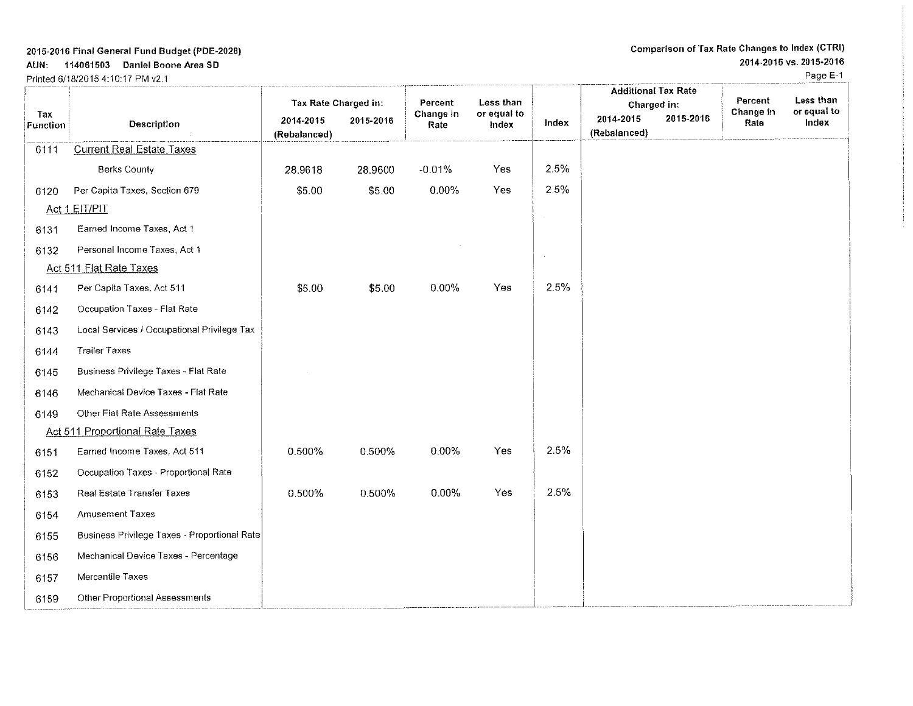## AUN: 114061503 Daniel Boone Area SO

Prinled 611812015 4:10:17 PM v2.1

Page E-1

|                 |                                              | Tax Rate Charged in:      |           | Percent           | Less than            |        | <b>Additional Tax Rate</b><br>Charged in: | Percent           | Less than            |
|-----------------|----------------------------------------------|---------------------------|-----------|-------------------|----------------------|--------|-------------------------------------------|-------------------|----------------------|
| Tax<br>Function | Description                                  | 2014-2015<br>(Rebalanced) | 2015-2016 | Change in<br>Rate | or equal to<br>Index | Index  | 2015-2016<br>2014-2015<br>(Rebalanced)    | Change in<br>Rate | or equal to<br>Index |
| 6111            | <b>Current Real Estate Taxes</b>             |                           |           |                   |                      |        |                                           |                   |                      |
|                 | <b>Berks County</b>                          | 28.9618                   | 28.9600   | $-0.01%$          | Yes                  | 2.5%   |                                           |                   |                      |
| 6120            | Per Capita Taxes, Section 679                | \$5.00                    | \$5.00    | 0.00%             | Yes                  | 2.5%   |                                           |                   |                      |
|                 | Act 1 EIT/PIT                                |                           |           |                   |                      | $\sim$ |                                           |                   |                      |
| 6131            | Earned Income Taxes, Act 1                   |                           |           |                   |                      |        |                                           |                   |                      |
| 6132            | Personal Income Taxes, Act 1                 |                           |           |                   |                      |        |                                           |                   |                      |
|                 | Act 511 Flat Rate Taxes                      |                           |           |                   |                      |        |                                           |                   |                      |
| 6141            | Per Capita Taxes, Act 511                    | \$5.00                    | \$5.00    | $0.00\%$          | Yes                  | 2.5%   |                                           |                   |                      |
| 6142            | Occupation Taxes - Flat Rate                 |                           |           |                   |                      |        |                                           |                   |                      |
| 6143            | Local Services / Occupational Privilege Tax  |                           |           |                   |                      |        |                                           |                   |                      |
| 6144            | <b>Trailer Taxes</b>                         |                           |           |                   |                      |        |                                           |                   |                      |
| 6145            | Business Privilege Taxes - Flat Rate         |                           |           |                   |                      |        |                                           |                   |                      |
| 6146            | Mechanical Device Taxes - Flat Rate          |                           |           |                   |                      |        |                                           |                   |                      |
| 6149            | Other Flat Rate Assessments                  |                           |           |                   |                      |        |                                           |                   |                      |
|                 | Act 511 Proportional Rate Taxes              |                           |           |                   |                      |        |                                           |                   |                      |
| 6151            | Earned Income Taxes, Act 511                 | 0.500%                    | 0.500%    | $0.00\%$          | Yes                  | 2.5%   |                                           |                   |                      |
| 6152            | Occupation Taxes - Proportional Rate         |                           |           |                   |                      |        |                                           |                   |                      |
| 6153            | Real Estate Transfer Taxes                   | 0.500%                    | 0.500%    | $0.00\%$          | Yes                  | 2.5%   |                                           |                   |                      |
| 6154            | <b>Amusement Taxes</b>                       |                           |           |                   |                      |        |                                           |                   |                      |
| 6155            | Business Privilege Taxes - Proportional Rate |                           |           |                   |                      |        |                                           |                   |                      |
| 6156            | Mechanical Device Taxes - Percentage         |                           |           |                   |                      |        |                                           |                   |                      |
| 6157            | Mercantile Taxes                             |                           |           |                   |                      |        |                                           |                   |                      |
| 6159            | Other Proportional Assessments               |                           |           |                   |                      |        |                                           |                   |                      |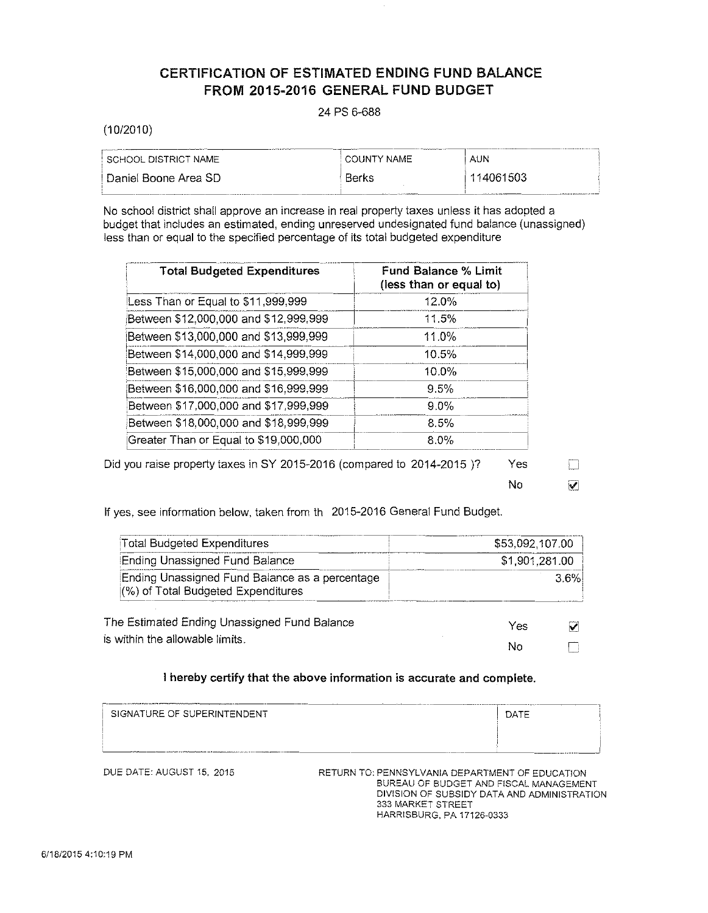# CERTIFICATION OF ESTIMATED ENDING FUND BALANCE FROM 2015-2016 GENERAL FUND BUDGET

# 24 PS 6-688

(10/2010)

| SCHOOL DISTRICT NAME    | <b>COUNTY NAME</b> | AUN       |
|-------------------------|--------------------|-----------|
| ∣ Daniel Boone Area SD. | Berks              | 114061503 |

No school district shall approve an increase in real property taxes unless it has adopted a budget that includes an estimated, ending unreserved undesignated fund balance (unassigned) less than or equal to the specified percentage of its total budgeted expenditure

| <b>Total Budgeted Expenditures</b>    | <b>Fund Balance % Limit</b><br>(less than or equal to) |
|---------------------------------------|--------------------------------------------------------|
| Less Than or Equal to \$11,999,999    | 12.0%                                                  |
| Between \$12,000,000 and \$12,999,999 | 11.5%                                                  |
| Between \$13,000,000 and \$13,999,999 | 11.0%                                                  |
| Between \$14,000,000 and \$14,999,999 | 10.5%                                                  |
| Between \$15,000,000 and \$15,999,999 | 10.0%                                                  |
| Between \$16,000,000 and \$16,999,999 | 9.5%                                                   |
| Between \$17,000,000 and \$17,999,999 | $9.0\%$                                                |
| Between \$18,000,000 and \$18,999,999 | 8.5%                                                   |
| Greater Than or Equal to \$19,000,000 | $8.0\%$                                                |

Did you raise property taxes in SY 2015-2016 (compared to 2014-2015)? Yes

 $\overline{\mathbf{v}}$ 

 $\Box$ 

No

If yes, see information below, taken from th 2015-2016 General Fund Budget.

| <b>Total Budgeted Expenditures</b>                                                   | \$53,092,107.00 |      |
|--------------------------------------------------------------------------------------|-----------------|------|
| Ending Unassigned Fund Balance                                                       | \$1,901,281.00  |      |
| Ending Unassigned Fund Balance as a percentage<br>(%) of Total Budgeted Expenditures |                 | 3.6% |
| The Estimated Ending Unassigned Fund Balance                                         | Yes             |      |
| is within the allowable limits.                                                      | No              |      |

| I hereby certify that the above information is accurate and complete. |      |  |  |  |
|-----------------------------------------------------------------------|------|--|--|--|
| SIGNATURE OF SUPERINTENDENT                                           | DATE |  |  |  |
|                                                                       |      |  |  |  |

DUE DATE: AUGUST 15, 2015 RETURN TO: PENNSYLVANIA DEPARTMENT OF EDUCATION BUREAU OF BUDGET AND FISCAL MANAGEMENT DIVISION OF SUBSIDY DATA AND ADMINISTRATION 333 MARKET STREET HARRISBURG, PA 17126·0333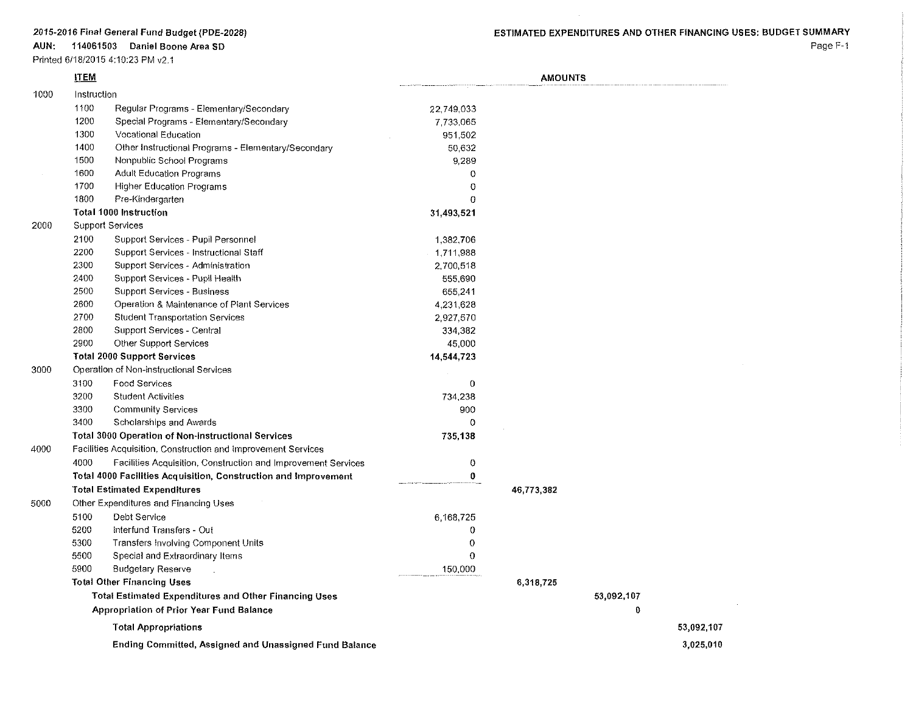### **AUN: 114061503 Daniel Boone Area SO**

## Printed 6/18/2015 4:10:23 PM v2.1

Page F-1

|      | <b>ITEM</b> |                                                                 |             | <b>AMOUNTS</b> |            |            |  |
|------|-------------|-----------------------------------------------------------------|-------------|----------------|------------|------------|--|
| 1000 | Instruction |                                                                 |             |                |            |            |  |
|      | 1100        | Regular Programs - Elementary/Secondary                         | 22,749,033  |                |            |            |  |
|      | 1200        | Special Programs - Elementary/Secondary                         | 7,733,065   |                |            |            |  |
|      | 1300        | Vocational Education                                            | 951,502     |                |            |            |  |
|      | 1400        | Other Instructional Programs - Elementary/Secondary             | 50,632      |                |            |            |  |
|      | 1500        | Nonpublic School Programs                                       | 9,289       |                |            |            |  |
|      | 1600        | <b>Adult Education Programs</b>                                 | 0           |                |            |            |  |
|      | 1700        | <b>Higher Education Programs</b>                                | $\theta$    |                |            |            |  |
|      | 1800        | Pre-Kindergarten                                                | $\Omega$    |                |            |            |  |
|      |             | <b>Total 1000 Instruction</b>                                   | 31,493,521  |                |            |            |  |
| 2000 |             | <b>Support Services</b>                                         |             |                |            |            |  |
|      | 2100        | Support Services - Pupil Personnel                              | 1,382,706   |                |            |            |  |
|      | 2200        | Support Services - Instructional Staff                          | 1,711,988   |                |            |            |  |
|      | 2300        | Support Services - Administration                               | 2,700,518   |                |            |            |  |
|      | 2400        | Support Services - Pupil Health                                 | 555,690     |                |            |            |  |
|      | 2500        | <b>Support Services - Business</b>                              | 655,241     |                |            |            |  |
|      | 2600        | Operation & Maintenance of Plant Services                       | 4,231,628   |                |            |            |  |
|      | 2700        | <b>Student Transportation Services</b>                          | 2,927,570   |                |            |            |  |
|      | 2800        | Support Services - Central                                      | 334,382     |                |            |            |  |
|      | 2900        | Other Support Services                                          | 45,000      |                |            |            |  |
|      |             | <b>Total 2000 Support Services</b>                              | 14,544,723  |                |            |            |  |
| 3000 |             | Operation of Non-instructional Services                         |             |                |            |            |  |
|      | 3100        | <b>Food Services</b>                                            | 0           |                |            |            |  |
|      | 3200        | <b>Student Activities</b>                                       | 734,238     |                |            |            |  |
|      | 3300        | <b>Community Services</b>                                       | 900         |                |            |            |  |
|      | 3400        | Scholarships and Awards                                         | $\Omega$    |                |            |            |  |
|      |             | Total 3000 Operation of Non-instructional Services              | 735,138     |                |            |            |  |
| 4000 |             | Facilities Acquisition, Construction and Improvement Services   |             |                |            |            |  |
|      | 4000        | Facilities Acquisition, Construction and Improvement Services   | $\mathbf 0$ |                |            |            |  |
|      |             | Total 4000 Facilities Acquisition, Construction and Improvement | 0           |                |            |            |  |
|      |             | <b>Total Estimated Expenditures</b>                             |             | 46,773,382     |            |            |  |
| 5000 |             | Other Expenditures and Financing Uses                           |             |                |            |            |  |
|      | 5100        | Debt Service                                                    | 6,168,725   |                |            |            |  |
|      | 5200        | Interfund Transfers - Out                                       | 0           |                |            |            |  |
|      | 5300        | Transfers Involving Component Units                             | 0           |                |            |            |  |
|      | 5500        | Special and Extraordinary Items                                 | 0           |                |            |            |  |
|      | 5900        | <b>Budgetary Reserve</b>                                        | 150,000     |                |            |            |  |
|      |             | <b>Total Other Financing Uses</b>                               |             | 6,318,725      |            |            |  |
|      |             | <b>Total Estimated Expenditures and Other Financing Uses</b>    |             |                | 53,092,107 |            |  |
|      |             | Appropriation of Prior Year Fund Balance                        |             |                | 0          |            |  |
|      |             | <b>Total Appropriations</b>                                     |             |                |            | 53,092,107 |  |
|      |             | <b>Ending Committed, Assigned and Unassigned Fund Balance</b>   |             |                |            | 3,025,010  |  |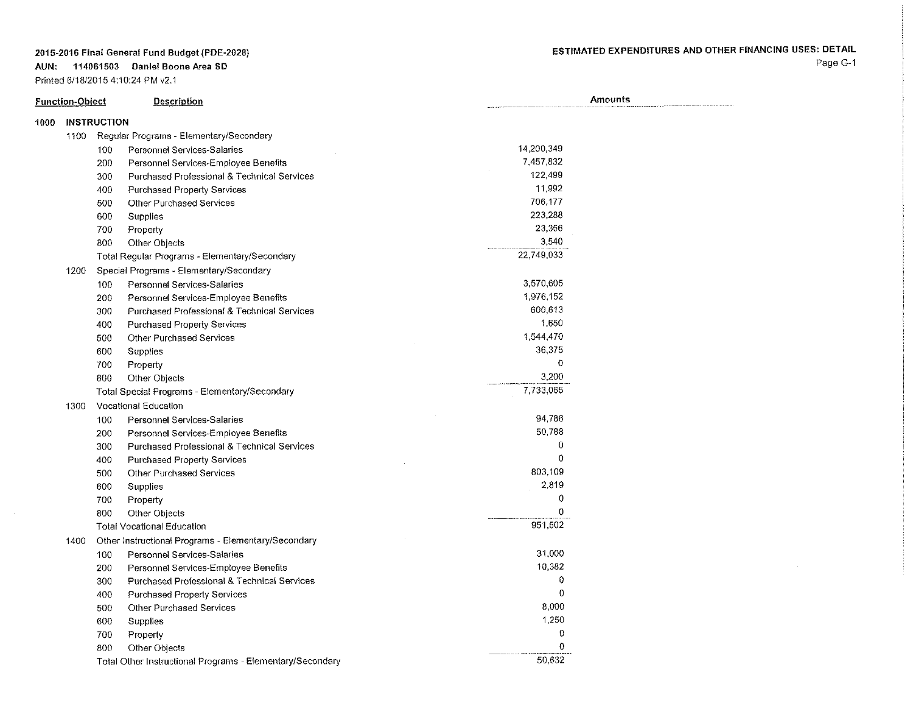**AUN: 114061503 Daniel Boone Area SO**

Printed 6/18/20154:10:24 PM v2.1

|      | <b>Function-Object</b> |                    | <b>Description</b>                                        |             | Amounts |
|------|------------------------|--------------------|-----------------------------------------------------------|-------------|---------|
| 1000 |                        | <b>INSTRUCTION</b> |                                                           |             |         |
|      | 1100                   |                    | Regular Programs - Elementary/Secondary                   |             |         |
|      |                        | 100                | Personnel Services-Salaries                               | 14,200,349  |         |
|      |                        | 200                | Personnel Services-Employee Benefits                      | 7,457,832   |         |
|      |                        | 300                | Purchased Professional & Technical Services               | 122,499     |         |
|      |                        | 400                | <b>Purchased Property Services</b>                        | 11,992      |         |
|      |                        | 500                | <b>Other Purchased Services</b>                           | 706.177     |         |
|      |                        | 600                | Supplies                                                  | 223,288     |         |
|      |                        | 700                | Property                                                  | 23.356      |         |
|      |                        | 800                | Other Objects                                             | 3,540       |         |
|      |                        |                    | Total Regular Programs - Elementary/Secondary             | 22,749,033  |         |
|      | 1200                   |                    | Special Programs - Elementary/Secondary                   |             |         |
|      |                        | 100                | Personnel Services-Salaries                               | 3,570,605   |         |
|      |                        | 200                | Personnel Services-Employee Benefits                      | 1,976,152   |         |
|      |                        | 300                | Purchased Professional & Technical Services               | 600,613     |         |
|      |                        | 400                | <b>Purchased Property Services</b>                        | 1.650       |         |
|      |                        | 500                | <b>Other Purchased Services</b>                           | 1,544,470   |         |
|      |                        | 600                | Supplies                                                  | 36,375      |         |
|      |                        | 700                | Property                                                  | 0           |         |
|      |                        | 800                | Other Objects                                             | 3,200       |         |
|      |                        |                    | <b>Total Special Programs - Elementary/Secondary</b>      | 7,733,065   |         |
|      | 1300                   |                    | Vocational Education                                      |             |         |
|      |                        | 100                | Personnel Services-Salaries                               | 94,786      |         |
|      |                        | 200                | Personnel Services-Employee Benefits                      | 50.788      |         |
|      |                        | 300                | Purchased Professional & Technical Services               | 0           |         |
|      |                        | 400                | <b>Purchased Property Services</b>                        | $\Omega$    |         |
|      |                        | 500                | <b>Other Purchased Services</b>                           | 803,109     |         |
|      |                        | 600                | Supplies                                                  | 2,819       |         |
|      |                        | 700                | Property                                                  | $\mathbf 0$ |         |
|      |                        | 800                | Other Objects                                             | 0           |         |
|      |                        |                    | <b>Total Vocational Education</b>                         | 951,502     |         |
|      | 1400                   |                    | Other Instructional Programs - Elementary/Secondary       |             |         |
|      |                        | 100                | Personnel Services-Salaries                               | 31,000      |         |
|      |                        | 200                | Personnel Services-Employee Benefits                      | 10,382      |         |
|      |                        | 300                | <b>Purchased Professional &amp; Technical Services</b>    | 0           |         |
|      |                        | 400                | Purchased Property Services                               | $\mathbf 0$ |         |
|      |                        | 500                | Other Purchased Services                                  | 8,000       |         |
|      |                        | 600                | <b>Supplies</b>                                           | 1,250       |         |
|      |                        | 700                | Property                                                  | 0           |         |
|      |                        | 800                | Other Objects                                             | O           |         |
|      |                        |                    | Total Other Instructional Programs - Elementary/Secondary | 50,632      |         |

# ESTIMATED EXPENDITURES AND OTHER FINANCING USES: DETAIL

Page G-1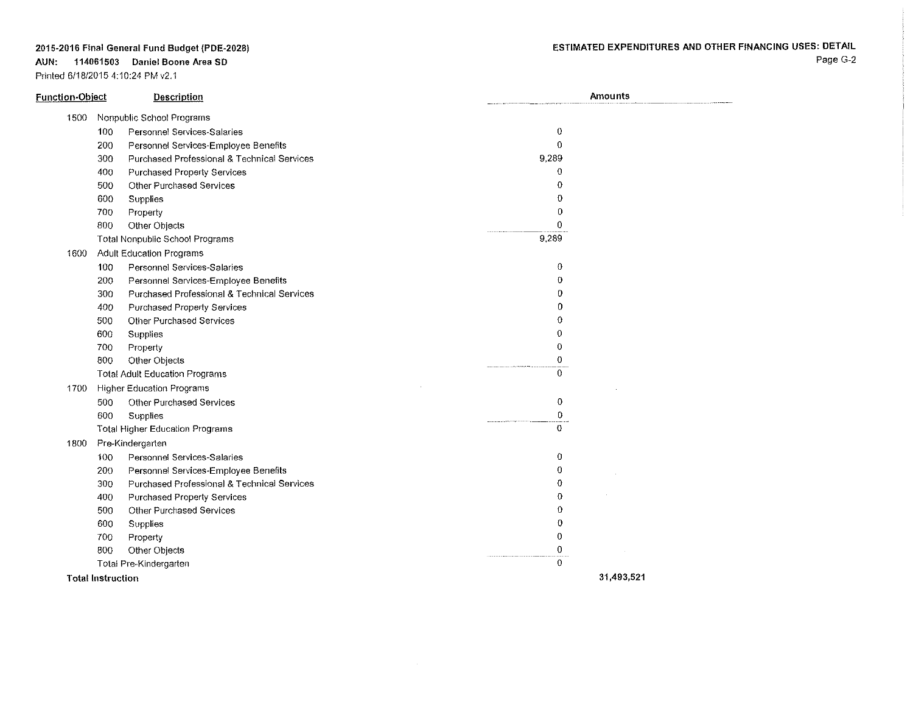### **AUN: 114061503 Daniel Boone Area SO**

Printed 6/18/2015 4:10:24 PM v2.1

| <b>Function-Object</b> |                          | <b>Description</b>                          | <b>Amounts</b> |
|------------------------|--------------------------|---------------------------------------------|----------------|
| 1500                   |                          | Nonpublic School Programs                   |                |
|                        | 100                      | Personnel Services-Salaries                 | 0              |
|                        | 200                      | Personnel Services-Employee Benefits        | 0              |
|                        | 300                      | Purchased Professional & Technical Services | 9,289          |
|                        | 400                      | <b>Purchased Property Services</b>          | $\Omega$       |
|                        | 500                      | Other Purchased Services                    | 0              |
|                        | 600                      | Supplies                                    | 0              |
|                        | 700                      | Property                                    | 0              |
|                        | 800                      | Other Objects                               | 0              |
|                        |                          | <b>Total Nonpublic School Programs</b>      | 9,289          |
| 1600                   |                          | Adult Education Programs                    |                |
|                        | 100                      | <b>Personnel Services-Salaries</b>          | 0              |
|                        | 200                      | Personnel Services-Employee Benefits        | $\bf{0}$       |
|                        | 300                      | Purchased Professional & Technical Services | 0              |
|                        | 400                      | Purchased Property Services                 | 0              |
|                        | 500                      | Other Purchased Services                    | $\Omega$       |
|                        | 600                      | Supplies                                    | $\mathbf 0$    |
|                        | 700                      | Property                                    | 0              |
|                        | 800                      | Other Objects                               | $\mathbf 0$    |
|                        |                          | <b>Total Adult Education Programs</b>       | $\theta$       |
| 1700                   |                          | <b>Higher Education Programs</b>            |                |
|                        | 500                      | Other Purchased Services                    | $\circ$        |
|                        | 600                      | Supplies                                    | $\mathbf{0}$   |
|                        |                          | <b>Total Higher Education Programs</b>      | $\mathbf{0}$   |
| 1800                   |                          | Pre-Kindergarten                            |                |
|                        | 100                      | Personnel Services-Salaries                 | 0              |
|                        | 200                      | Personnel Services-Employee Benefits        | 0              |
|                        | 300                      | Purchased Professional & Technical Services | 0              |
|                        | 400                      | Purchased Property Services                 | 0              |
|                        | 500                      | <b>Other Purchased Services</b>             | 0              |
|                        | 600                      | Supplies                                    | $\theta$       |
|                        | 700                      | Property                                    | 0              |
|                        | 800                      | Other Objects                               | 0              |
|                        |                          | Total Pre-Kindergarten                      | $\Omega$       |
|                        | <b>Total Instruction</b> |                                             | 31,493,521     |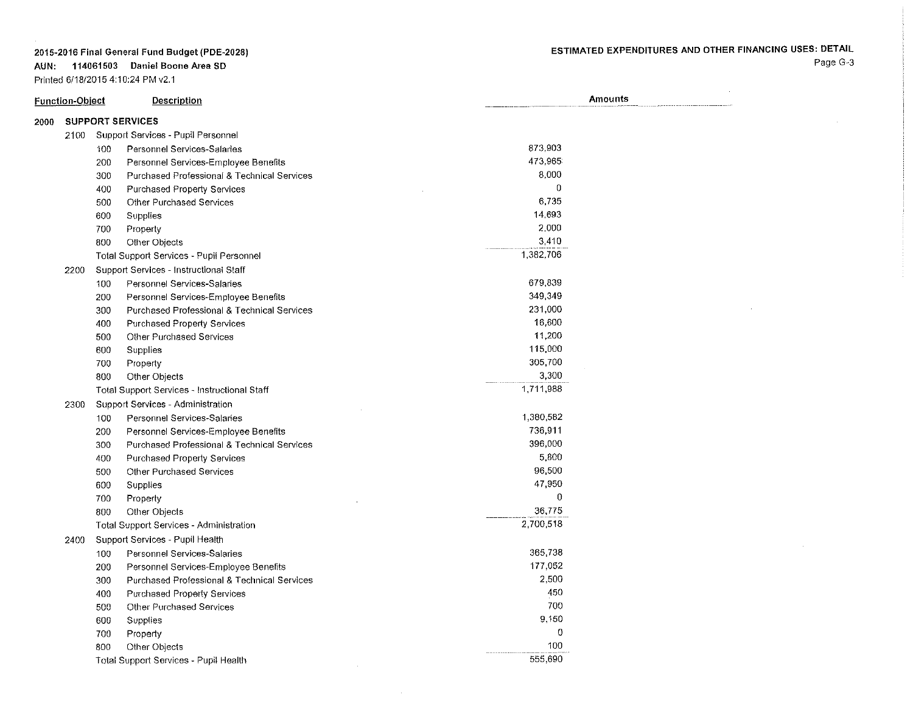**AUN: 114061503 Daniel Boone Area SO**

Printed 6/18/2015 4:10:24 PM v2.1

**Function-Object Description Amounts** 2000 SUPPORT SERVICES 2100 Support Services - Pupil Personnel 100 Personnel Services-Salaries 200 Personnel Services-Employee Benefits 300 Purchased Professional & Technical Services 400 Purchased Property Services 500 Other Purchased Services 600 Supplies 700 Property 800 Other Objects Total Support Services - Pupil Personnel 2200 Support Services - Instructional Staff 100 Personnel Services-Salaries 200 Personnel Services-Employee Benefits 300 Purchased Professional & Technical Services 400 Purchased Property Services 500 Other Purchased Services 600 Supplies 700 Property 800 Other Objects Total Support Services - Instructional Staff 2300 Support Services - Administration 100 Personnel Services-Salaries 200 Personnel Services~Employee Benefits 300 Purchased Professional & Technical Services 400 Purchased Property Services 500 Other Purchased Services 600 Supplies 700 Property 800 Other Objects Total Support Services - Administration 2400 Support Services - Pupil Health 100 Personnel Services-Salaries 200 Personnel Services~Employee Benefits 300 Purchased Professional & Technical Services 400 Purchased Property Services 500 Other Purchased Services 600 Supplies 700 Property 800 Other Objects 873,903 473,965 8,000 o 6,735 14,693 2,000 3,410 1.382,706 679,839 349,349 231,000 16,600 11,200 115,000 305,700 3,300 1,711,988 1,380,582 736,911 396.000 5,800 96,500 47,950 o 36,775 2,700,518 365,738 177,052 2.500 450 700 9,150 o 100

555,690

Total Support Services - Pupl! Health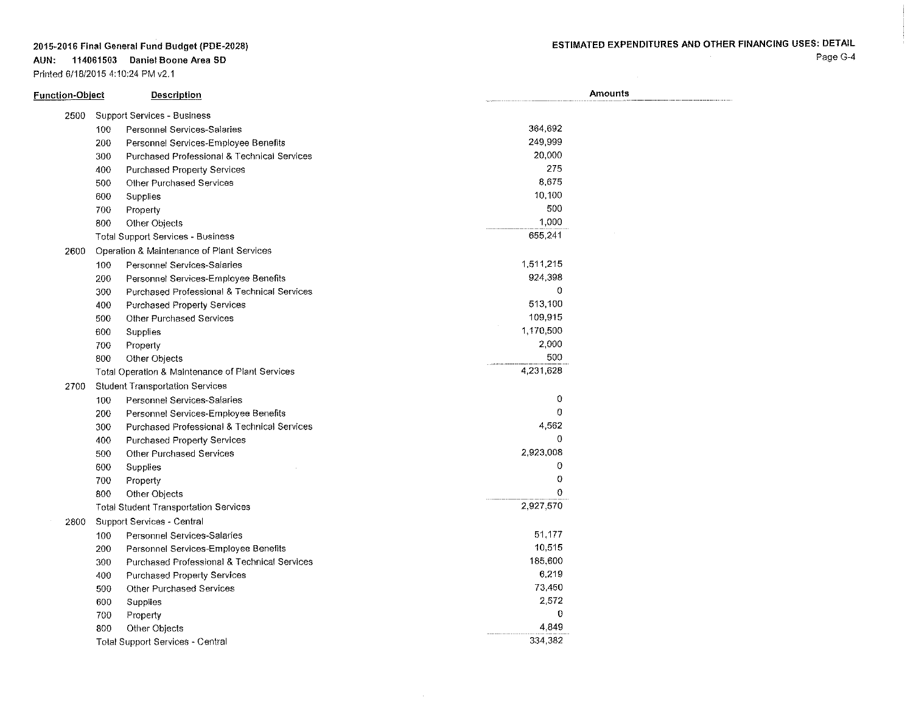### **AUN: 114061503 Daniel Boone Area SO**

Printed 6/18/2015 4:10:24 PM v2.1

 $\mathcal{L}(\mathcal{L}^{\mathcal{L}})$  and  $\mathcal{L}(\mathcal{L}^{\mathcal{L}})$  and  $\mathcal{L}(\mathcal{L}^{\mathcal{L}})$ 

Page G-4

| Function-Object |     | <b>Description</b>                              | <b>Amounts</b> |  |  |
|-----------------|-----|-------------------------------------------------|----------------|--|--|
| 2500            |     | <b>Support Services - Business</b>              |                |  |  |
|                 | 100 | Personnel Services-Salaries                     | 364,692        |  |  |
|                 | 200 | Personnel Services-Employee Benefits            | 249.999        |  |  |
|                 | 300 | Purchased Professional & Technical Services     | 20,000         |  |  |
|                 | 400 | <b>Purchased Property Services</b>              | 275            |  |  |
|                 | 500 | Other Purchased Services                        | 8,675          |  |  |
|                 | 600 | Supplies                                        | 10,100         |  |  |
|                 | 700 | Property                                        | 500            |  |  |
|                 | 800 | Other Objects                                   | 1,000          |  |  |
|                 |     | <b>Total Support Services - Business</b>        | 655.241        |  |  |
| 2600            |     | Operation & Maintenance of Plant Services       |                |  |  |
|                 | 100 | Personnel Services-Salaries                     | 1,511,215      |  |  |
|                 | 200 | Personnel Services-Employee Benefits            | 924.398        |  |  |
|                 | 300 | Purchased Professional & Technical Services     | 0              |  |  |
|                 | 400 | <b>Purchased Property Services</b>              | 513,100        |  |  |
|                 | 500 | Other Purchased Services                        | 109,915        |  |  |
|                 | 600 | Supplies                                        | 1,170,500      |  |  |
|                 | 700 | Property                                        | 2,000          |  |  |
|                 | 800 | Other Objects                                   | 500            |  |  |
|                 |     | Total Operation & Maintenance of Plant Services | 4,231,628      |  |  |
| 2700            |     | <b>Student Transportation Services</b>          |                |  |  |
|                 | 100 | Personnel Services-Salaries                     | 0              |  |  |
|                 | 200 | Personnel Services-Employee Benefits            | 0              |  |  |
|                 | 300 | Purchased Professional & Technical Services     | 4.562          |  |  |
|                 | 400 | <b>Purchased Property Services</b>              | $\theta$       |  |  |
|                 | 500 | <b>Other Purchased Services</b>                 | 2,923,008      |  |  |
|                 | 600 | Supplies                                        | 0              |  |  |
|                 | 700 | Property                                        | 0              |  |  |
|                 | 800 | Other Objects                                   | 0              |  |  |
|                 |     | <b>Total Student Transportation Services</b>    | 2,927,570      |  |  |
| 2800            |     | Support Services - Central                      |                |  |  |
|                 | 100 | Personnel Services-Salaries                     | 51.177         |  |  |
|                 | 200 | Personnel Services-Employee Benefits            | 10,515         |  |  |
|                 | 300 | Purchased Professional & Technical Services     | 185,600        |  |  |
|                 | 400 | <b>Purchased Property Services</b>              | 6,219          |  |  |
|                 | 500 | <b>Other Purchased Services</b>                 | 73 450         |  |  |
|                 | 600 | Supplies                                        | 2,572          |  |  |
|                 | 700 | Property                                        | $\theta$       |  |  |
|                 | 800 | Other Objects                                   | 4.849          |  |  |
|                 |     | <b>Total Support Services - Central</b>         | 334 382        |  |  |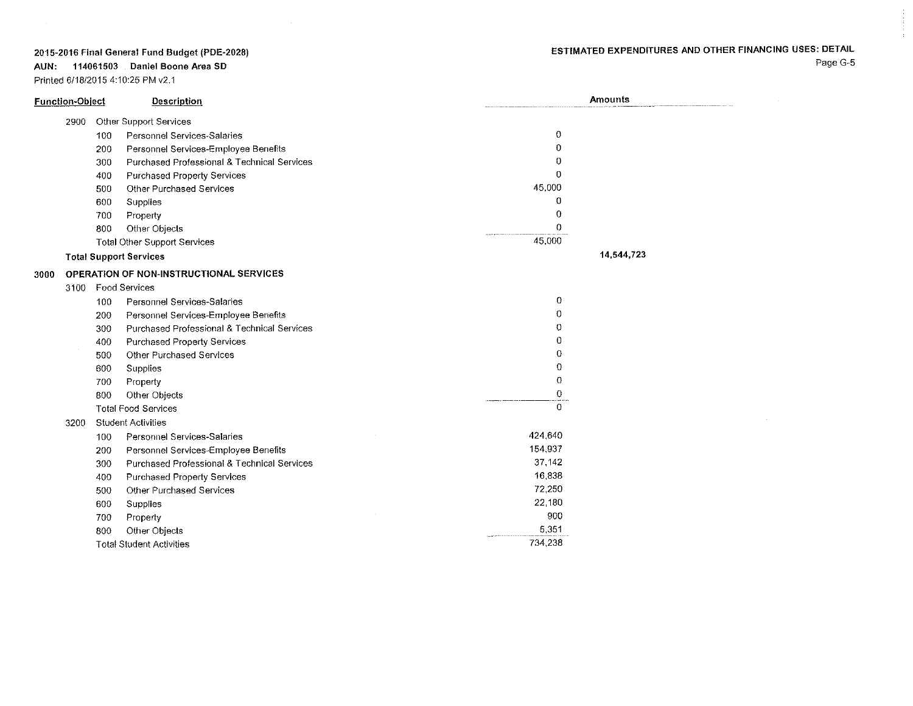# ESTIMATED EXPENDITURES AND OTHER FINANCING USES: DETAIL

2015~2016 **Final General Fund Budget** (PDE~2028)

**AUN: 114061503 Daniel Boone Area SO**

Printed 6/18/2015 4:10:25 PM v2.1

 $\sim$ 

| <b>Function-Object</b> |     | Description                                            |         | <b>Amounts</b> |  |
|------------------------|-----|--------------------------------------------------------|---------|----------------|--|
| 2900                   |     | Other Support Services                                 |         |                |  |
|                        | 100 | Personnel Services-Salaries                            | 0       |                |  |
|                        | 200 | Personnel Services-Employee Benefits                   | 0       |                |  |
|                        | 300 | Purchased Professional & Technical Services            | 0       |                |  |
|                        | 400 | Purchased Property Services                            | 0       |                |  |
|                        | 500 | Other Purchased Services                               | 45,000  |                |  |
|                        | 600 | Supplies                                               | 0       |                |  |
|                        | 700 | Property                                               | 0       |                |  |
|                        | 800 | Other Objects                                          | 0       |                |  |
|                        |     | <b>Total Other Support Services</b>                    | 45,000  |                |  |
|                        |     | <b>Total Support Services</b>                          |         | 14,544,723     |  |
| 3000                   |     | <b>OPERATION OF NON-INSTRUCTIONAL SERVICES</b>         |         |                |  |
|                        |     | 3100 Food Services                                     |         |                |  |
|                        | 100 | Personnel Services-Salaries                            | 0       |                |  |
|                        | 200 | Personnel Services-Employee Benefits                   | 0       |                |  |
|                        | 300 | <b>Purchased Professional &amp; Technical Services</b> | 0       |                |  |
|                        | 400 | <b>Purchased Property Services</b>                     | 0       |                |  |
|                        | 500 | <b>Other Purchased Services</b>                        | 0       |                |  |
|                        | 600 | Supplies                                               | 0       |                |  |
|                        | 700 | Property                                               | 0       |                |  |
|                        | 800 | Other Objects                                          | 0       |                |  |
|                        |     | <b>Total Food Services</b>                             | 0       |                |  |
| 3200                   |     | <b>Student Activities</b>                              |         |                |  |
|                        | 100 | Personnel Services-Salaries                            | 424.640 |                |  |
|                        | 200 | Personnel Services-Employee Benefits                   | 154.937 |                |  |
|                        | 300 | Purchased Professional & Technical Services            | 37 142  |                |  |
|                        | 400 | <b>Purchased Property Services</b>                     | 16,838  |                |  |
|                        | 500 | <b>Other Purchased Services</b>                        | 72,250  |                |  |
|                        | 600 | Supplies                                               | 22 180  |                |  |
|                        | 700 | Property                                               | 900     |                |  |
|                        | 800 | Other Objects                                          | 5,351   |                |  |
|                        |     | <b>Total Student Activities</b>                        | 734 238 |                |  |

Page G-5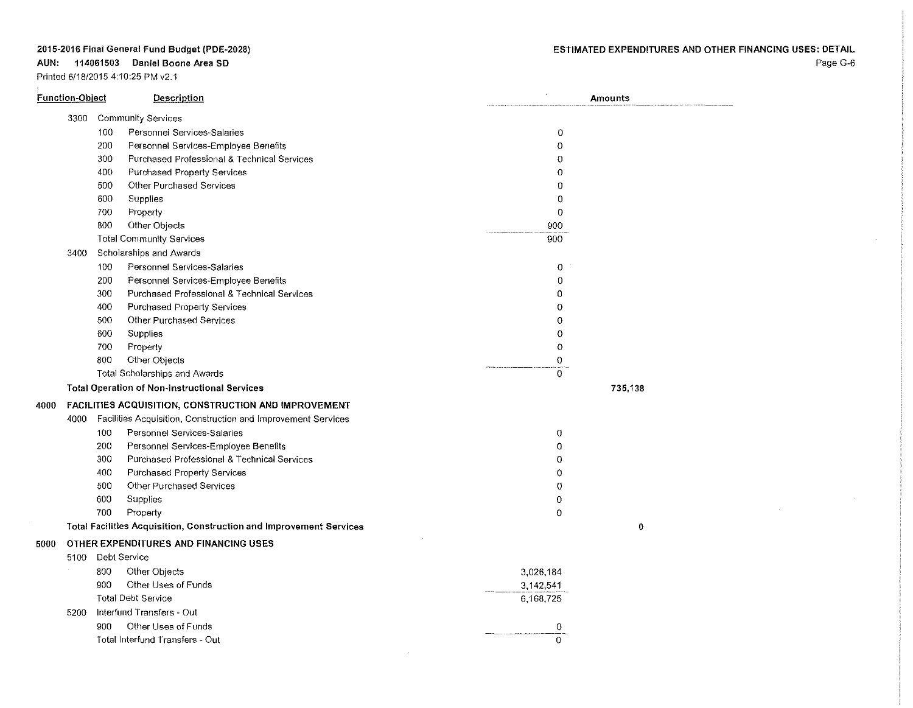### **AUN: 114061503 Daniel Boone Area SO**

Prinled 611812015 4:10:25 PM v2.1

Page G-6

| <b>Function-Object</b> |                   | <b>Description</b>                                                  |                  | Amounts |  |
|------------------------|-------------------|---------------------------------------------------------------------|------------------|---------|--|
|                        |                   | 3300 Community Services                                             |                  |         |  |
|                        | 100               | Personnel Services-Salaries                                         | 0                |         |  |
|                        | 200               | Personnel Services-Employee Benefits                                | 0                |         |  |
|                        | 300               | Purchased Professional & Technical Services                         | $\overline{0}$   |         |  |
|                        | 400               | <b>Purchased Property Services</b>                                  | 0                |         |  |
|                        | 500               | Other Purchased Services                                            | 0                |         |  |
|                        | 600               | Supplies                                                            | 0                |         |  |
|                        | 700               | Property                                                            | $\bf{0}$         |         |  |
|                        | 800               | Other Objects                                                       | 900              |         |  |
|                        |                   | <b>Total Community Services</b>                                     | 900              |         |  |
| 3400                   |                   | Scholarships and Awards                                             |                  |         |  |
|                        | 100               | Personnel Services-Salaries                                         | 0                |         |  |
|                        | 200               | Personnel Services-Employee Benefits                                | 0                |         |  |
|                        | 300               | Purchased Professional & Technical Services                         | 0                |         |  |
|                        | 400               | Purchased Property Services                                         | $\Omega$         |         |  |
|                        | 500               | Other Purchased Services                                            | 0                |         |  |
|                        | 600               | Supplies                                                            | 0                |         |  |
|                        | 700               | Property                                                            | $\theta$         |         |  |
|                        | 800               | Other Objects                                                       | $\Omega$         |         |  |
|                        |                   | Total Scholarships and Awards                                       | $\boldsymbol{0}$ |         |  |
|                        |                   | <b>Total Operation of Non-instructional Services</b>                |                  | 735,138 |  |
| 4000                   |                   | FACILITIES ACQUISITION, CONSTRUCTION AND IMPROVEMENT                |                  |         |  |
| 4000                   |                   | Facilities Acquisition, Construction and Improvement Services       |                  |         |  |
|                        | 100               | Personnel Services-Salaries                                         | 0                |         |  |
|                        | 200               | Personnel Services-Employee Benefits                                | $\mathbf 0$      |         |  |
|                        | 300               | Purchased Professional & Technical Services                         | $\theta$         |         |  |
|                        | 400               | <b>Purchased Property Services</b>                                  | $\mathbf 0$      |         |  |
|                        | 500               | Other Purchased Services                                            | $\Omega$         |         |  |
|                        | 600               | Supplies                                                            | $\overline{0}$   |         |  |
|                        | 700               | Property                                                            | $\mathbf 0$      |         |  |
|                        |                   | Total Facilities Acquisition, Construction and Improvement Services |                  | 0       |  |
| 5000                   |                   | OTHER EXPENDITURES AND FINANCING USES                               |                  |         |  |
|                        | 5100 Debt Service |                                                                     |                  |         |  |
|                        | 800               | Other Objects                                                       | 3,026,184        |         |  |
|                        | 900               | Other Uses of Funds                                                 | 3,142,541        |         |  |
|                        |                   | <b>Total Debt Service</b>                                           | 6,168,725        |         |  |
| 5200                   |                   | Interfund Transfers - Out                                           |                  |         |  |
|                        | 900               | Other Uses of Funds                                                 | 0                |         |  |
|                        |                   | Total Interfund Transfers - Out                                     | $\Omega$         |         |  |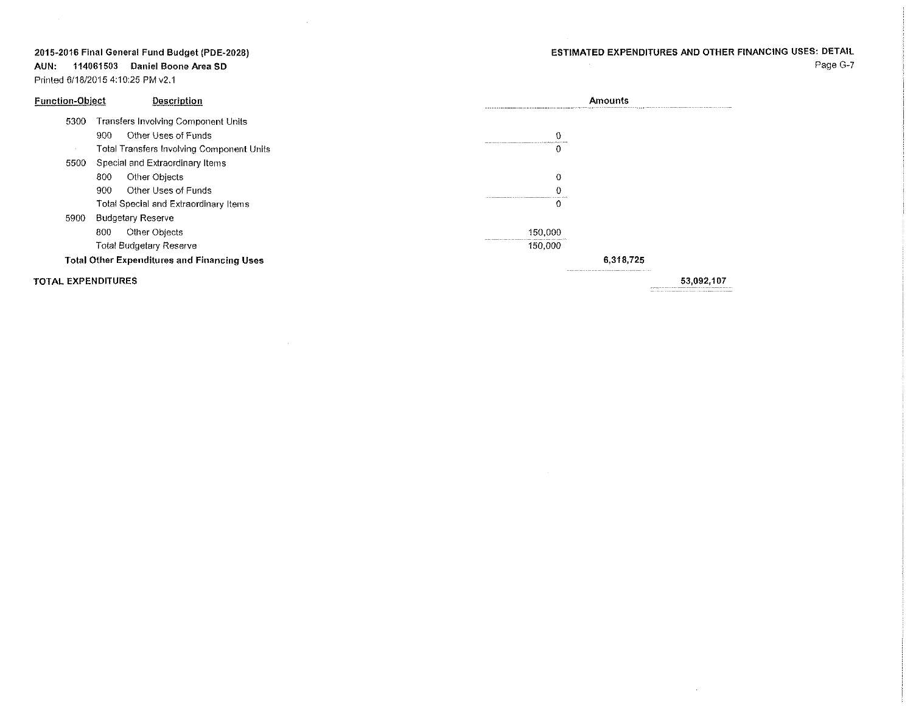# ESTIMATED EXPENDITURES AND OTHER FINANCING USES: DETAIL

Page G-7

2015~2016 **Final General Fund Budget** (PDE~2028)

**AUN: 114061503 Daniel Boone Area SD**

Printed 6118/20154:10:25 PM v2.1

 $\sim 10^6$ 

| <b>Function-Object</b>                             | Description                                | Amounts                                                                                                          |            |
|----------------------------------------------------|--------------------------------------------|------------------------------------------------------------------------------------------------------------------|------------|
| 5300                                               | <b>Transfers Involving Component Units</b> |                                                                                                                  |            |
|                                                    | Other Uses of Funds<br>900.                |                                                                                                                  |            |
|                                                    | Total Transfers Involving Component Units  | and an expected a contract of the contract of the company of the contract of the field of the field of the field |            |
| 5500                                               | Special and Extraordinary Items            |                                                                                                                  |            |
|                                                    | Other Objects<br>800                       | 0                                                                                                                |            |
|                                                    | Other Uses of Funds<br>900                 |                                                                                                                  |            |
|                                                    | Total Special and Extraordinary Items      |                                                                                                                  |            |
| 5900                                               | <b>Budgetary Reserve</b>                   |                                                                                                                  |            |
|                                                    | Other Objects<br>800                       | 150,000                                                                                                          |            |
|                                                    | <b>Total Budgetary Reserve</b>             | 150,000                                                                                                          |            |
| <b>Total Other Expenditures and Financing Uses</b> |                                            | 6.318.725                                                                                                        |            |
| TOTAL EXPENDITURES                                 |                                            | man a consider that have had a series who considered a communication considerable management of the              | 53,092,107 |

 $\sim 10^{-1}$ 

 $\sim 10^7$ 

 $\sim 10^7$